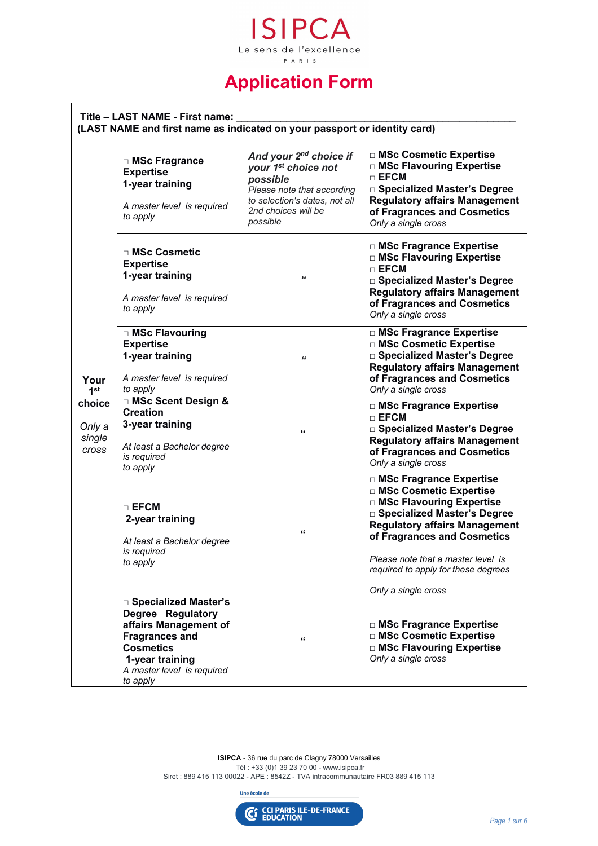

# **Application Form**

|                                                                | Title - LAST NAME - First name:                                                                                                                      | (LAST NAME and first name as indicated on your passport or identity card)                                                                                                           |                                                                                                                                                                                                                                                                                                 |
|----------------------------------------------------------------|------------------------------------------------------------------------------------------------------------------------------------------------------|-------------------------------------------------------------------------------------------------------------------------------------------------------------------------------------|-------------------------------------------------------------------------------------------------------------------------------------------------------------------------------------------------------------------------------------------------------------------------------------------------|
|                                                                | □ MSc Fragrance<br><b>Expertise</b><br>1-year training<br>A master level is required<br>to apply                                                     | And your 2 <sup>nd</sup> choice if<br>your 1 <sup>st</sup> choice not<br>possible<br>Please note that according<br>to selection's dates, not all<br>2nd choices will be<br>possible | □ MSc Cosmetic Expertise<br>□ MSc Flavouring Expertise<br>$\sqcap$ EFCM<br>□ Specialized Master's Degree<br><b>Regulatory affairs Management</b><br>of Fragrances and Cosmetics<br>Only a single cross                                                                                          |
| Your<br>1 <sup>st</sup><br>choice<br>Only a<br>single<br>cross | $\Box$ MSc Cosmetic<br><b>Expertise</b><br>1-year training<br>A master level is required<br>to apply                                                 | "                                                                                                                                                                                   | □ MSc Fragrance Expertise<br>□ MSc Flavouring Expertise<br>$\Box$ EFCM<br>□ Specialized Master's Degree<br><b>Regulatory affairs Management</b><br>of Fragrances and Cosmetics<br>Only a single cross                                                                                           |
|                                                                | □ MSc Flavouring<br><b>Expertise</b><br>1-year training<br>A master level is required<br>to apply                                                    | $\epsilon$                                                                                                                                                                          | □ MSc Fragrance Expertise<br>□ MSc Cosmetic Expertise<br>□ Specialized Master's Degree<br><b>Regulatory affairs Management</b><br>of Fragrances and Cosmetics<br>Only a single cross                                                                                                            |
|                                                                | <b>DI MSc Scent Design &amp;</b><br><b>Creation</b><br>3-year training<br>At least a Bachelor degree<br>is required<br>to apply                      | $\epsilon$                                                                                                                                                                          | □ MSc Fragrance Expertise<br>$\sqcap$ EFCM<br>□ Specialized Master's Degree<br><b>Regulatory affairs Management</b><br>of Fragrances and Cosmetics<br>Only a single cross                                                                                                                       |
|                                                                | $\Box$ EFCM<br>2-year training<br>At least a Bachelor degree<br>is required<br>to apply                                                              | "                                                                                                                                                                                   | □ MSc Fragrance Expertise<br>□ MSc Cosmetic Expertise<br>□ MSc Flavouring Expertise<br>□ Specialized Master's Degree<br><b>Regulatory affairs Management</b><br>of Fragrances and Cosmetics<br>Please note that a master level is<br>required to apply for these degrees<br>Only a single cross |
|                                                                | □ Specialized Master's                                                                                                                               |                                                                                                                                                                                     |                                                                                                                                                                                                                                                                                                 |
|                                                                | Degree Regulatory<br>affairs Management of<br><b>Fragrances and</b><br><b>Cosmetics</b><br>1-year training<br>A master level is required<br>to apply | $\epsilon$                                                                                                                                                                          | □ MSc Fragrance Expertise<br>□ MSc Cosmetic Expertise<br>□ MSc Flavouring Expertise<br>Only a single cross                                                                                                                                                                                      |

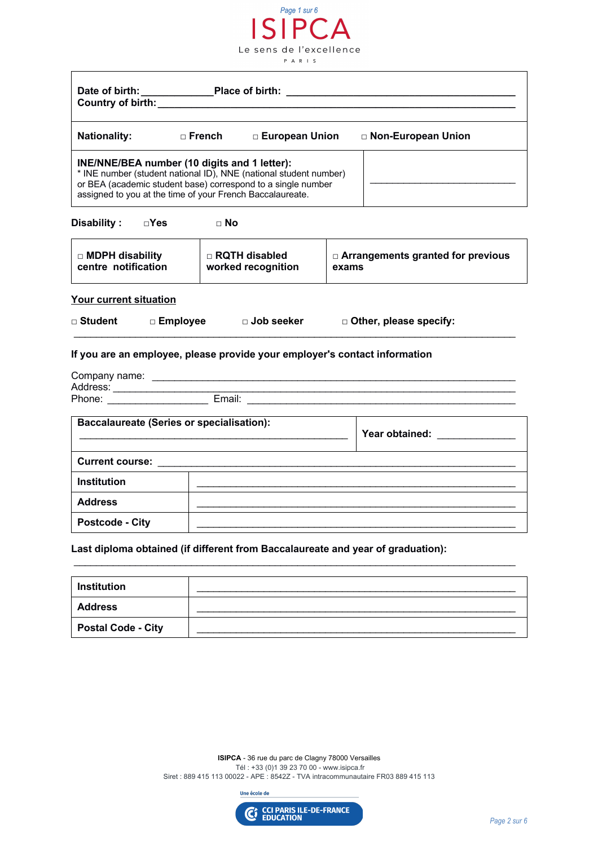| Page 1 sur 6<br>ISIPC                                                                                                                                                                                                                          |  |                                                                |                                                                                                                                                                                                                                    |                                                   |  |
|------------------------------------------------------------------------------------------------------------------------------------------------------------------------------------------------------------------------------------------------|--|----------------------------------------------------------------|------------------------------------------------------------------------------------------------------------------------------------------------------------------------------------------------------------------------------------|---------------------------------------------------|--|
|                                                                                                                                                                                                                                                |  | Le sens de l'excellence<br>PARIS                               |                                                                                                                                                                                                                                    |                                                   |  |
| Country of birth: ________                                                                                                                                                                                                                     |  |                                                                |                                                                                                                                                                                                                                    |                                                   |  |
|                                                                                                                                                                                                                                                |  | Nationality: □ French □ European Union<br>□ Non-European Union |                                                                                                                                                                                                                                    |                                                   |  |
| INE/NNE/BEA number (10 digits and 1 letter):<br>* INE number (student national ID), NNE (national student number)<br>or BEA (academic student base) correspond to a single number<br>assigned to you at the time of your French Baccalaureate. |  |                                                                |                                                                                                                                                                                                                                    |                                                   |  |
| Disability: Disability: Disability: Disability: Disability: Disamon Disable 2012                                                                                                                                                               |  |                                                                |                                                                                                                                                                                                                                    |                                                   |  |
| $\square$ MDPH disability<br>centre notification                                                                                                                                                                                               |  | $\Box$ RQTH disabled<br>worked recognition                     |                                                                                                                                                                                                                                    | $\Box$ Arrangements granted for previous<br>exams |  |
| <b>Your current situation</b>                                                                                                                                                                                                                  |  |                                                                |                                                                                                                                                                                                                                    |                                                   |  |
| □ Student    □ Employee     □ Job seeker<br>□ Other, please specify:                                                                                                                                                                           |  |                                                                |                                                                                                                                                                                                                                    |                                                   |  |
| If you are an employee, please provide your employer's contact information                                                                                                                                                                     |  |                                                                |                                                                                                                                                                                                                                    |                                                   |  |
|                                                                                                                                                                                                                                                |  |                                                                |                                                                                                                                                                                                                                    |                                                   |  |
|                                                                                                                                                                                                                                                |  |                                                                |                                                                                                                                                                                                                                    |                                                   |  |
| <b>Baccalaureate (Series or specialisation):</b>                                                                                                                                                                                               |  |                                                                | <b>Year obtained:</b> The state of the state of the state of the state of the state of the state of the state of the state of the state of the state of the state of the state of the state of the state of the state of the state |                                                   |  |
| <b>Current course:</b>                                                                                                                                                                                                                         |  |                                                                |                                                                                                                                                                                                                                    |                                                   |  |
| Institution                                                                                                                                                                                                                                    |  |                                                                |                                                                                                                                                                                                                                    |                                                   |  |
| <b>Address</b>                                                                                                                                                                                                                                 |  |                                                                |                                                                                                                                                                                                                                    |                                                   |  |
| <b>Postcode - City</b>                                                                                                                                                                                                                         |  |                                                                |                                                                                                                                                                                                                                    |                                                   |  |

**Last diploma obtained (if different from Baccalaureate and year of graduation):** 

| <b>Institution</b>        |  |
|---------------------------|--|
| <b>Address</b>            |  |
| <b>Postal Code - City</b> |  |

\_\_\_\_\_\_\_\_\_\_\_\_\_\_\_\_\_\_\_\_\_\_\_\_\_\_\_\_\_\_\_\_\_\_\_\_\_\_\_\_\_\_\_\_\_\_\_\_\_\_\_\_\_\_\_\_\_\_\_\_\_\_\_\_\_\_\_\_\_\_\_\_\_\_\_\_\_\_\_

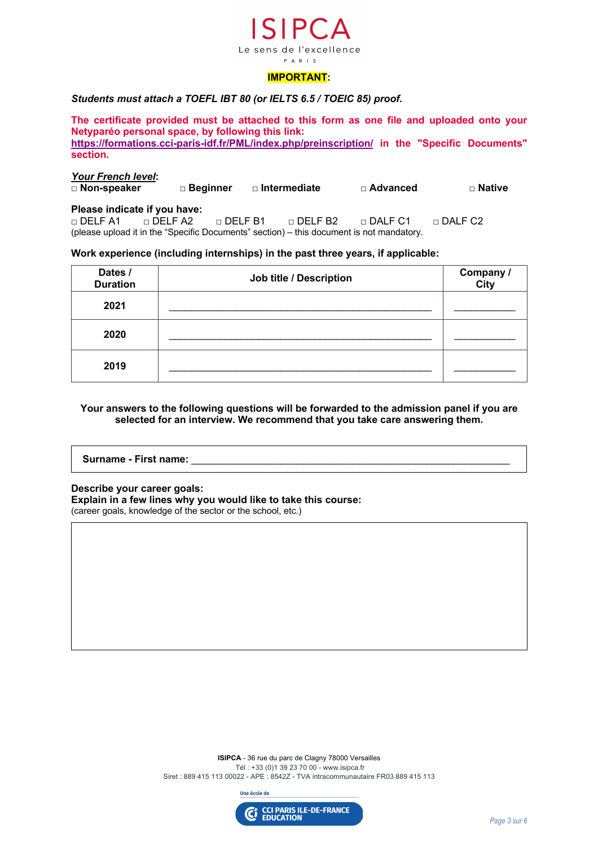

#### *Students must attach a TOEFL IBT 80 (or IELTS 6.5 / TOEIC 85) proof.*

**The certificate provided must be attached to this form as one file and uploaded onto your Netyparéo personal space, by following this link: https://formations.cci-paris-idf.fr/PML/index.php/preinscription/ in the "Specific Documents" section.**

### *Your French level***:**  □ **Non-speaker** □ **Beginner** □ **Intermediate** □ **Advanced** □ **Native Please indicate if you have:**

□ DELF A1 □ DELF A2 □ DELF B1 □ DELF B2 □ DALF C1 □ DALF C2 (please upload it in the "Specific Documents" section) – this document is not mandatory.

#### **Work experience (including internships) in the past three years, if applicable:**

| Dates /<br><b>Duration</b> | Job title / Description | Company /<br>City |
|----------------------------|-------------------------|-------------------|
| 2021                       |                         |                   |
| 2020                       |                         |                   |
| 2019                       |                         |                   |

#### **Your answers to the following questions will be forwarded to the admission panel if you are selected for an interview. We recommend that you take care answering them.**

## Surname - First name:

#### **Describe your career goals:**

**Explain in a few lines why you would like to take this course:**

(career goals, knowledge of the sector or the school, etc.)

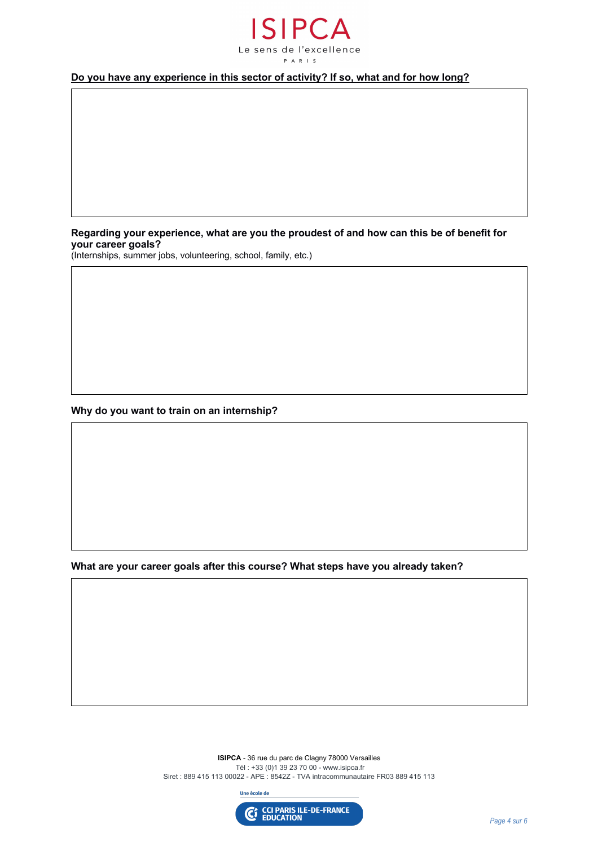

#### **Do you have any experience in this sector of activity? If so, what and for how long?**

**Regarding your experience, what are you the proudest of and how can this be of benefit for your career goals?**

(Internships, summer jobs, volunteering, school, family, etc.)

**Why do you want to train on an internship?** 

**What are your career goals after this course? What steps have you already taken?**

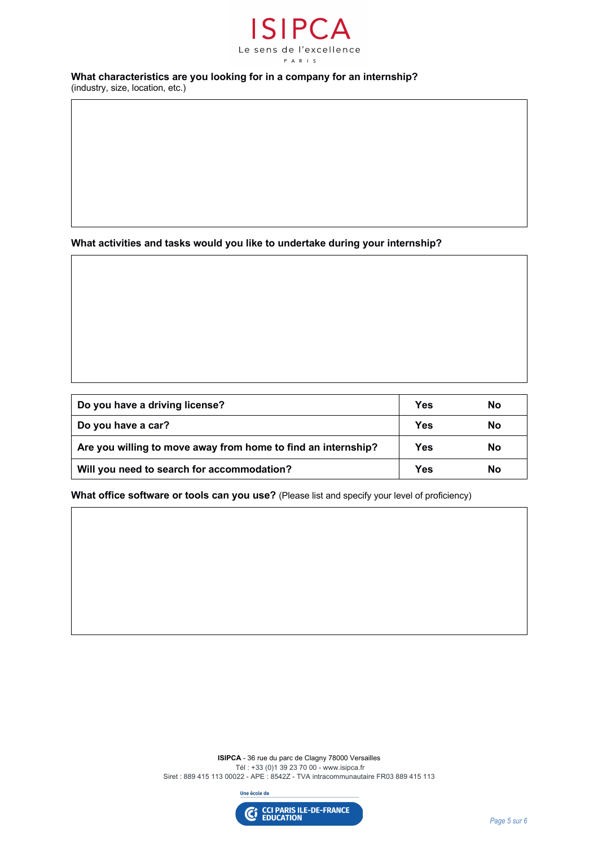

#### **What characteristics are you looking for in a company for an internship?**

(industry, size, location, etc.)

**What activities and tasks would you like to undertake during your internship?**

| Do you have a driving license?                                | Yes | No |
|---------------------------------------------------------------|-----|----|
| Do you have a car?                                            | Yes | No |
| Are you willing to move away from home to find an internship? | Yes | Nο |
| Will you need to search for accommodation?                    | Yes | Nο |

**What office software or tools can you use?** (Please list and specify your level of proficiency)